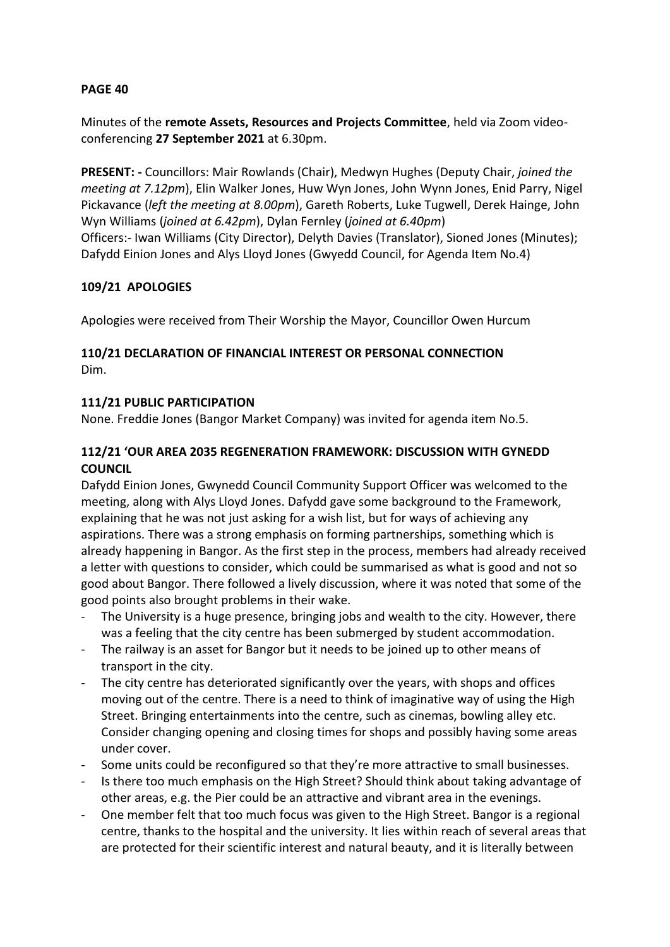Minutes of the **remote Assets, Resources and Projects Committee**, held via Zoom videoconferencing **27 September 2021** at 6.30pm.

**PRESENT: -** Councillors: Mair Rowlands (Chair), Medwyn Hughes (Deputy Chair, *joined the meeting at 7.12pm*), Elin Walker Jones, Huw Wyn Jones, John Wynn Jones, Enid Parry, Nigel Pickavance (*left the meeting at 8.00pm*), Gareth Roberts, Luke Tugwell, Derek Hainge, John Wyn Williams (*joined at 6.42pm*), Dylan Fernley (*joined at 6.40pm*) Officers:- Iwan Williams (City Director), Delyth Davies (Translator), Sioned Jones (Minutes); Dafydd Einion Jones and Alys Lloyd Jones (Gwyedd Council, for Agenda Item No.4)

## **109/21 APOLOGIES**

Apologies were received from Their Worship the Mayor, Councillor Owen Hurcum

## **110/21 DECLARATION OF FINANCIAL INTEREST OR PERSONAL CONNECTION** Dim.

## **111/21 PUBLIC PARTICIPATION**

None. Freddie Jones (Bangor Market Company) was invited for agenda item No.5.

## **112/21 'OUR AREA 2035 REGENERATION FRAMEWORK: DISCUSSION WITH GYNEDD COUNCIL**

Dafydd Einion Jones, Gwynedd Council Community Support Officer was welcomed to the meeting, along with Alys Lloyd Jones. Dafydd gave some background to the Framework, explaining that he was not just asking for a wish list, but for ways of achieving any aspirations. There was a strong emphasis on forming partnerships, something which is already happening in Bangor. As the first step in the process, members had already received a letter with questions to consider, which could be summarised as what is good and not so good about Bangor. There followed a lively discussion, where it was noted that some of the good points also brought problems in their wake.

- The University is a huge presence, bringing jobs and wealth to the city. However, there was a feeling that the city centre has been submerged by student accommodation.
- The railway is an asset for Bangor but it needs to be joined up to other means of transport in the city.
- The city centre has deteriorated significantly over the years, with shops and offices moving out of the centre. There is a need to think of imaginative way of using the High Street. Bringing entertainments into the centre, such as cinemas, bowling alley etc. Consider changing opening and closing times for shops and possibly having some areas under cover.
- Some units could be reconfigured so that they're more attractive to small businesses.
- Is there too much emphasis on the High Street? Should think about taking advantage of other areas, e.g. the Pier could be an attractive and vibrant area in the evenings.
- One member felt that too much focus was given to the High Street. Bangor is a regional centre, thanks to the hospital and the university. It lies within reach of several areas that are protected for their scientific interest and natural beauty, and it is literally between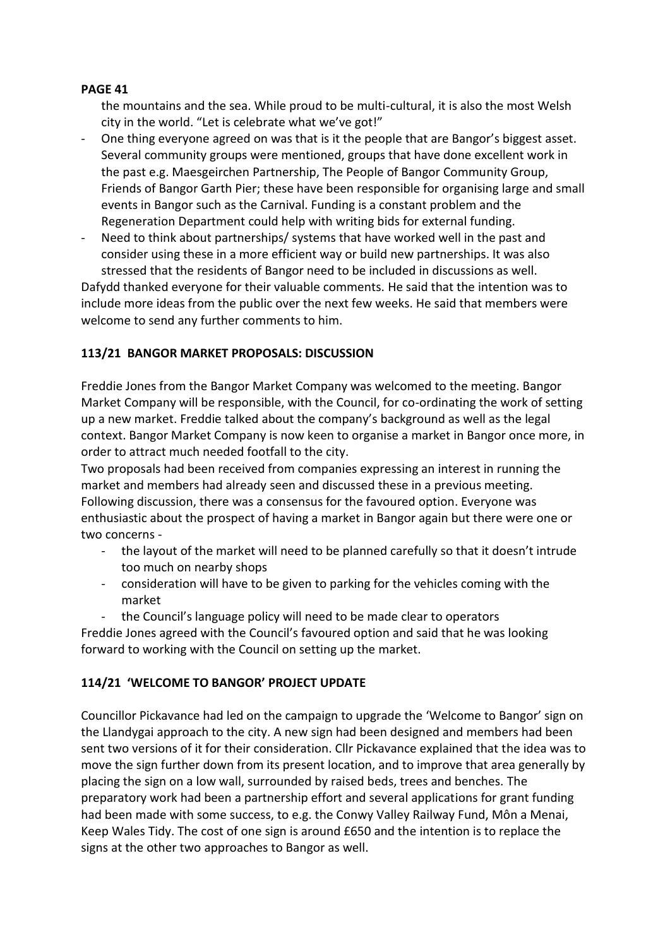the mountains and the sea. While proud to be multi-cultural, it is also the most Welsh city in the world. "Let is celebrate what we've got!"

- One thing everyone agreed on was that is it the people that are Bangor's biggest asset. Several community groups were mentioned, groups that have done excellent work in the past e.g. Maesgeirchen Partnership, The People of Bangor Community Group, Friends of Bangor Garth Pier; these have been responsible for organising large and small events in Bangor such as the Carnival. Funding is a constant problem and the Regeneration Department could help with writing bids for external funding.
- Need to think about partnerships/ systems that have worked well in the past and consider using these in a more efficient way or build new partnerships. It was also stressed that the residents of Bangor need to be included in discussions as well.

Dafydd thanked everyone for their valuable comments. He said that the intention was to include more ideas from the public over the next few weeks. He said that members were welcome to send any further comments to him.

## **113/21 BANGOR MARKET PROPOSALS: DISCUSSION**

Freddie Jones from the Bangor Market Company was welcomed to the meeting. Bangor Market Company will be responsible, with the Council, for co-ordinating the work of setting up a new market. Freddie talked about the company's background as well as the legal context. Bangor Market Company is now keen to organise a market in Bangor once more, in order to attract much needed footfall to the city.

Two proposals had been received from companies expressing an interest in running the market and members had already seen and discussed these in a previous meeting. Following discussion, there was a consensus for the favoured option. Everyone was enthusiastic about the prospect of having a market in Bangor again but there were one or two concerns -

- the layout of the market will need to be planned carefully so that it doesn't intrude too much on nearby shops
- consideration will have to be given to parking for the vehicles coming with the market
- the Council's language policy will need to be made clear to operators

Freddie Jones agreed with the Council's favoured option and said that he was looking forward to working with the Council on setting up the market.

# **114/21 'WELCOME TO BANGOR' PROJECT UPDATE**

Councillor Pickavance had led on the campaign to upgrade the 'Welcome to Bangor' sign on the Llandygai approach to the city. A new sign had been designed and members had been sent two versions of it for their consideration. Cllr Pickavance explained that the idea was to move the sign further down from its present location, and to improve that area generally by placing the sign on a low wall, surrounded by raised beds, trees and benches. The preparatory work had been a partnership effort and several applications for grant funding had been made with some success, to e.g. the Conwy Valley Railway Fund, Môn a Menai, Keep Wales Tidy. The cost of one sign is around £650 and the intention is to replace the signs at the other two approaches to Bangor as well.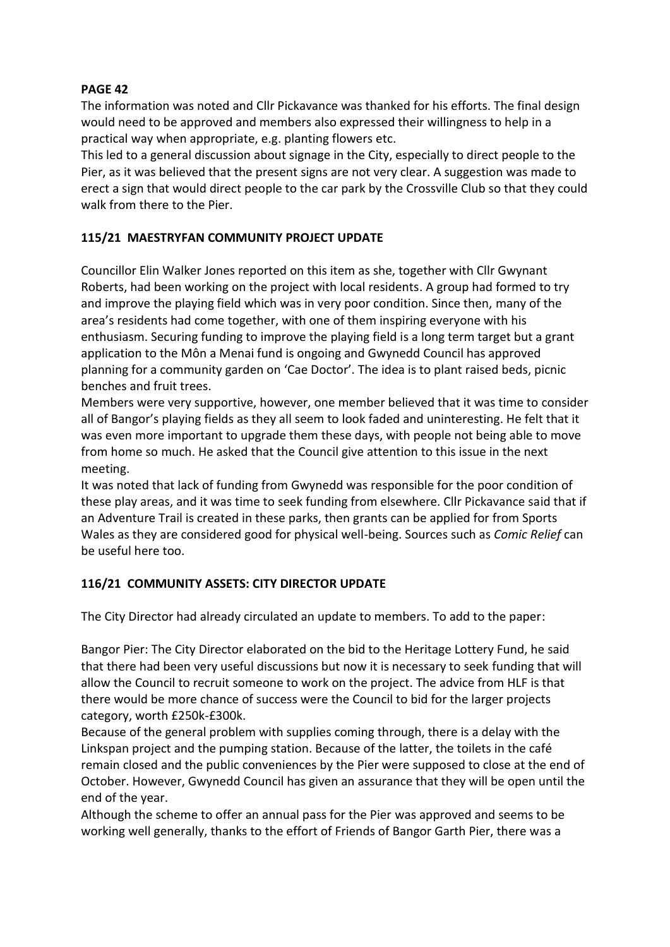The information was noted and Cllr Pickavance was thanked for his efforts. The final design would need to be approved and members also expressed their willingness to help in a practical way when appropriate, e.g. planting flowers etc.

This led to a general discussion about signage in the City, especially to direct people to the Pier, as it was believed that the present signs are not very clear. A suggestion was made to erect a sign that would direct people to the car park by the Crossville Club so that they could walk from there to the Pier.

# **115/21 MAESTRYFAN COMMUNITY PROJECT UPDATE**

Councillor Elin Walker Jones reported on this item as she, together with Cllr Gwynant Roberts, had been working on the project with local residents. A group had formed to try and improve the playing field which was in very poor condition. Since then, many of the area's residents had come together, with one of them inspiring everyone with his enthusiasm. Securing funding to improve the playing field is a long term target but a grant application to the Môn a Menai fund is ongoing and Gwynedd Council has approved planning for a community garden on 'Cae Doctor'. The idea is to plant raised beds, picnic benches and fruit trees.

Members were very supportive, however, one member believed that it was time to consider all of Bangor's playing fields as they all seem to look faded and uninteresting. He felt that it was even more important to upgrade them these days, with people not being able to move from home so much. He asked that the Council give attention to this issue in the next meeting.

It was noted that lack of funding from Gwynedd was responsible for the poor condition of these play areas, and it was time to seek funding from elsewhere. Cllr Pickavance said that if an Adventure Trail is created in these parks, then grants can be applied for from Sports Wales as they are considered good for physical well-being. Sources such as *Comic Relief* can be useful here too.

# **116/21 COMMUNITY ASSETS: CITY DIRECTOR UPDATE**

The City Director had already circulated an update to members. To add to the paper:

Bangor Pier: The City Director elaborated on the bid to the Heritage Lottery Fund, he said that there had been very useful discussions but now it is necessary to seek funding that will allow the Council to recruit someone to work on the project. The advice from HLF is that there would be more chance of success were the Council to bid for the larger projects category, worth £250k-£300k.

Because of the general problem with supplies coming through, there is a delay with the Linkspan project and the pumping station. Because of the latter, the toilets in the café remain closed and the public conveniences by the Pier were supposed to close at the end of October. However, Gwynedd Council has given an assurance that they will be open until the end of the year.

Although the scheme to offer an annual pass for the Pier was approved and seems to be working well generally, thanks to the effort of Friends of Bangor Garth Pier, there was a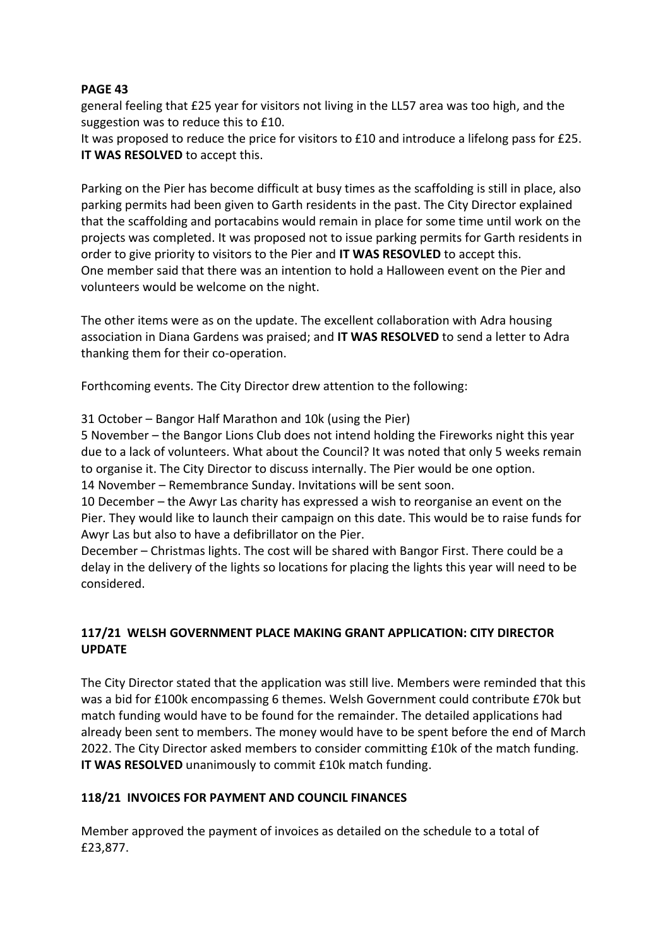general feeling that £25 year for visitors not living in the LL57 area was too high, and the suggestion was to reduce this to £10.

It was proposed to reduce the price for visitors to £10 and introduce a lifelong pass for £25. **IT WAS RESOLVED** to accept this.

Parking on the Pier has become difficult at busy times as the scaffolding is still in place, also parking permits had been given to Garth residents in the past. The City Director explained that the scaffolding and portacabins would remain in place for some time until work on the projects was completed. It was proposed not to issue parking permits for Garth residents in order to give priority to visitors to the Pier and **IT WAS RESOVLED** to accept this. One member said that there was an intention to hold a Halloween event on the Pier and volunteers would be welcome on the night.

The other items were as on the update. The excellent collaboration with Adra housing association in Diana Gardens was praised; and **IT WAS RESOLVED** to send a letter to Adra thanking them for their co-operation.

Forthcoming events. The City Director drew attention to the following:

31 October – Bangor Half Marathon and 10k (using the Pier)

5 November – the Bangor Lions Club does not intend holding the Fireworks night this year due to a lack of volunteers. What about the Council? It was noted that only 5 weeks remain to organise it. The City Director to discuss internally. The Pier would be one option. 14 November – Remembrance Sunday. Invitations will be sent soon.

10 December – the Awyr Las charity has expressed a wish to reorganise an event on the Pier. They would like to launch their campaign on this date. This would be to raise funds for Awyr Las but also to have a defibrillator on the Pier.

December – Christmas lights. The cost will be shared with Bangor First. There could be a delay in the delivery of the lights so locations for placing the lights this year will need to be considered.

# **117/21 WELSH GOVERNMENT PLACE MAKING GRANT APPLICATION: CITY DIRECTOR UPDATE**

The City Director stated that the application was still live. Members were reminded that this was a bid for £100k encompassing 6 themes. Welsh Government could contribute £70k but match funding would have to be found for the remainder. The detailed applications had already been sent to members. The money would have to be spent before the end of March 2022. The City Director asked members to consider committing £10k of the match funding. **IT WAS RESOLVED** unanimously to commit £10k match funding.

## **118/21 INVOICES FOR PAYMENT AND COUNCIL FINANCES**

Member approved the payment of invoices as detailed on the schedule to a total of £23,877.